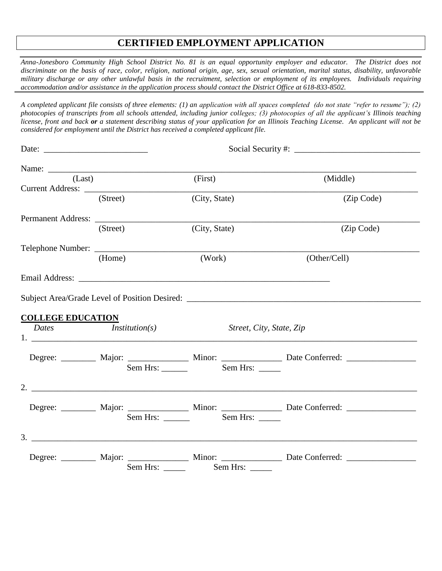# **CERTIFIED EMPLOYMENT APPLICATION**

*Anna-Jonesboro Community High School District No. 81 is an equal opportunity employer and educator. The District does not discriminate on the basis of race, color, religion, national origin, age, sex, sexual orientation, marital status, disability, unfavorable military discharge or any other unlawful basis in the recruitment, selection or employment of its employees. Individuals requiring accommodation and/or assistance in the application process should contact the District Office at 618-833-8502.*

*A completed applicant file consists of three elements: (1) an application with all spaces completed (do not state "refer to resume"); (2) photocopies of transcripts from all schools attended, including junior colleges; (3) photocopies of all the applicant's Illinois teaching license, front and back or a statement describing status of your application for an Illinois Teaching License. An applicant will not be considered for employment until the District has received a completed applicant file.*

| (Last)                   |                      | (First)                                                                                                                                                                                                                        | (Middle)                                                                                             |  |
|--------------------------|----------------------|--------------------------------------------------------------------------------------------------------------------------------------------------------------------------------------------------------------------------------|------------------------------------------------------------------------------------------------------|--|
|                          | (Street)             | (City, State)                                                                                                                                                                                                                  | (Zip Code)                                                                                           |  |
|                          |                      |                                                                                                                                                                                                                                |                                                                                                      |  |
|                          | (Street)             | (City, State)                                                                                                                                                                                                                  | (Zip Code)                                                                                           |  |
|                          |                      |                                                                                                                                                                                                                                |                                                                                                      |  |
|                          | (Home)               | (Work)                                                                                                                                                                                                                         | (Other/Cell)                                                                                         |  |
|                          |                      | Email Address: The Contract of the Contract of the Contract of the Contract of the Contract of the Contract of the Contract of the Contract of the Contract of the Contract of the Contract of the Contract of the Contract of |                                                                                                      |  |
|                          |                      | Subject Area/Grade Level of Position Desired: ___________________________________                                                                                                                                              |                                                                                                      |  |
| <b>COLLEGE EDUCATION</b> | Dates Institution(s) | Street, City, State, Zip                                                                                                                                                                                                       |                                                                                                      |  |
|                          |                      |                                                                                                                                                                                                                                |                                                                                                      |  |
|                          |                      |                                                                                                                                                                                                                                | Degree: __________ Major: _______________ Minor: _________________ Date Conferred: _________________ |  |
|                          |                      | Sem Hrs: _____                                                                                                                                                                                                                 |                                                                                                      |  |
|                          |                      |                                                                                                                                                                                                                                |                                                                                                      |  |
|                          |                      |                                                                                                                                                                                                                                | Degree: __________ Major: _______________ Minor: ________________ Date Conferred: _________________  |  |
|                          |                      | Sem Hrs: Sem Hrs:                                                                                                                                                                                                              |                                                                                                      |  |
|                          |                      |                                                                                                                                                                                                                                |                                                                                                      |  |
|                          |                      |                                                                                                                                                                                                                                | Degree: __________ Major: ______________ Minor: ________________ Date Conferred: __________________  |  |
|                          |                      |                                                                                                                                                                                                                                |                                                                                                      |  |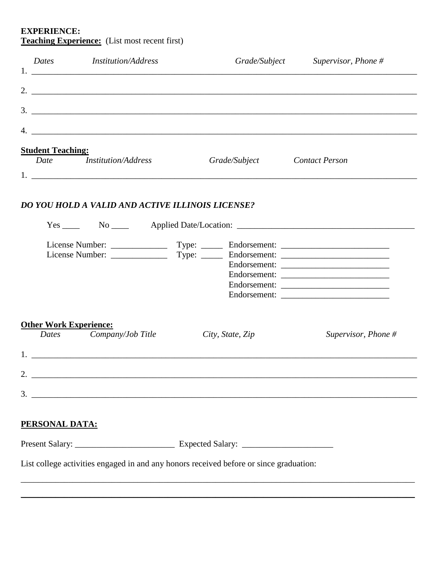## **EXPERIENCE: Teaching Experience:** (List most recent first)

| <b>Dates</b>                  | <b>Institution/Address</b>                       | Grade/Subject                                                                                                                                                                                                                                                                                                          | Supervisor, Phone $#$ |
|-------------------------------|--------------------------------------------------|------------------------------------------------------------------------------------------------------------------------------------------------------------------------------------------------------------------------------------------------------------------------------------------------------------------------|-----------------------|
|                               |                                                  |                                                                                                                                                                                                                                                                                                                        |                       |
|                               |                                                  | 2. $\frac{1}{2}$ $\frac{1}{2}$ $\frac{1}{2}$ $\frac{1}{2}$ $\frac{1}{2}$ $\frac{1}{2}$ $\frac{1}{2}$ $\frac{1}{2}$ $\frac{1}{2}$ $\frac{1}{2}$ $\frac{1}{2}$ $\frac{1}{2}$ $\frac{1}{2}$ $\frac{1}{2}$ $\frac{1}{2}$ $\frac{1}{2}$ $\frac{1}{2}$ $\frac{1}{2}$ $\frac{1}{2}$ $\frac{1}{2}$ $\frac{1}{2}$ $\frac{1}{2}$ |                       |
|                               |                                                  |                                                                                                                                                                                                                                                                                                                        |                       |
| <b>Student Teaching:</b>      |                                                  |                                                                                                                                                                                                                                                                                                                        |                       |
|                               | Date <i>Institution/Address</i>                  | Grade/Subject                                                                                                                                                                                                                                                                                                          | <b>Contact Person</b> |
|                               | DO YOU HOLD A VALID AND ACTIVE ILLINOIS LICENSE? |                                                                                                                                                                                                                                                                                                                        |                       |
|                               |                                                  |                                                                                                                                                                                                                                                                                                                        |                       |
|                               |                                                  |                                                                                                                                                                                                                                                                                                                        |                       |
|                               |                                                  |                                                                                                                                                                                                                                                                                                                        | Endorsement:          |
|                               |                                                  |                                                                                                                                                                                                                                                                                                                        |                       |
| <b>Other Work Experience:</b> |                                                  |                                                                                                                                                                                                                                                                                                                        |                       |
|                               | Dates Company/Job Title                          | City, State, Zip                                                                                                                                                                                                                                                                                                       | Supervisor, Phone $#$ |
|                               |                                                  |                                                                                                                                                                                                                                                                                                                        |                       |
|                               |                                                  |                                                                                                                                                                                                                                                                                                                        |                       |
|                               |                                                  |                                                                                                                                                                                                                                                                                                                        |                       |
|                               |                                                  |                                                                                                                                                                                                                                                                                                                        |                       |
|                               |                                                  |                                                                                                                                                                                                                                                                                                                        |                       |
| PERSONAL DATA:                |                                                  |                                                                                                                                                                                                                                                                                                                        |                       |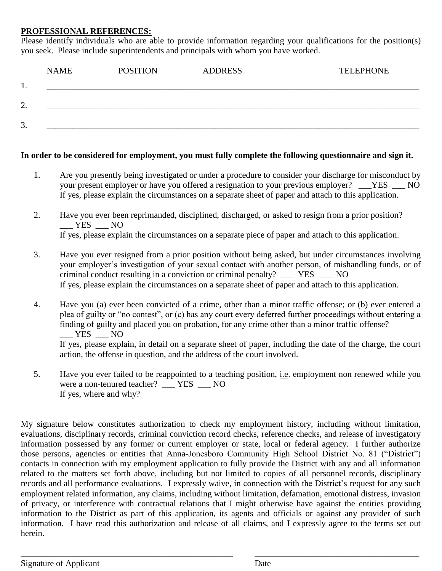### **PROFESSIONAL REFERENCES:**

Please identify individuals who are able to provide information regarding your qualifications for the position(s) you seek. Please include superintendents and principals with whom you have worked.

|                     | <b>NAME</b> | <b>POSITION</b> | <b>ADDRESS</b> | <b>TELEPHONE</b> |
|---------------------|-------------|-----------------|----------------|------------------|
| . .                 |             |                 |                |                  |
|                     |             |                 |                |                  |
| $\mathcal{L}$<br>∠. |             |                 |                |                  |
| 3.                  |             |                 |                |                  |
|                     |             |                 |                |                  |

#### **In order to be considered for employment, you must fully complete the following questionnaire and sign it.**

- 1. Are you presently being investigated or under a procedure to consider your discharge for misconduct by your present employer or have you offered a resignation to your previous employer? \_\_\_YES \_\_\_ NO If yes, please explain the circumstances on a separate sheet of paper and attach to this application.
- 2. Have you ever been reprimanded, disciplined, discharged, or asked to resign from a prior position?  $-$  YES  $-$  NO If yes, please explain the circumstances on a separate piece of paper and attach to this application.
- 3. Have you ever resigned from a prior position without being asked, but under circumstances involving your employer's investigation of your sexual contact with another person, of mishandling funds, or of criminal conduct resulting in a conviction or criminal penalty? \_\_\_ YES \_\_\_ NO If yes, please explain the circumstances on a separate sheet of paper and attach to this application.
- 4. Have you (a) ever been convicted of a crime, other than a minor traffic offense; or (b) ever entered a plea of guilty or "no contest", or (c) has any court every deferred further proceedings without entering a finding of guilty and placed you on probation, for any crime other than a minor traffic offense?  $\overline{\phantom{1}}$  YES  $\overline{\phantom{1}}$  NO If yes, please explain, in detail on a separate sheet of paper, including the date of the charge, the court action, the offense in question, and the address of the court involved.
- 5. Have you ever failed to be reappointed to a teaching position, i.e. employment non renewed while you were a non-tenured teacher? \_\_\_ YES \_\_\_ NO If yes, where and why?

My signature below constitutes authorization to check my employment history, including without limitation, evaluations, disciplinary records, criminal conviction record checks, reference checks, and release of investigatory information possessed by any former or current employer or state, local or federal agency. I further authorize those persons, agencies or entities that Anna-Jonesboro Community High School District No. 81 ("District") contacts in connection with my employment application to fully provide the District with any and all information related to the matters set forth above, including but not limited to copies of all personnel records, disciplinary records and all performance evaluations. I expressly waive, in connection with the District's request for any such employment related information, any claims, including without limitation, defamation, emotional distress, invasion of privacy, or interference with contractual relations that I might otherwise have against the entities providing information to the District as part of this application, its agents and officials or against any provider of such information. I have read this authorization and release of all claims, and I expressly agree to the terms set out herein.

\_\_\_\_\_\_\_\_\_\_\_\_\_\_\_\_\_\_\_\_\_\_\_\_\_\_\_\_\_\_\_\_\_\_\_\_\_\_\_\_\_\_\_\_\_\_\_\_\_ \_\_\_\_\_\_\_\_\_\_\_\_\_\_\_\_\_\_\_\_\_\_\_\_\_\_\_\_\_\_\_\_\_\_\_\_\_\_